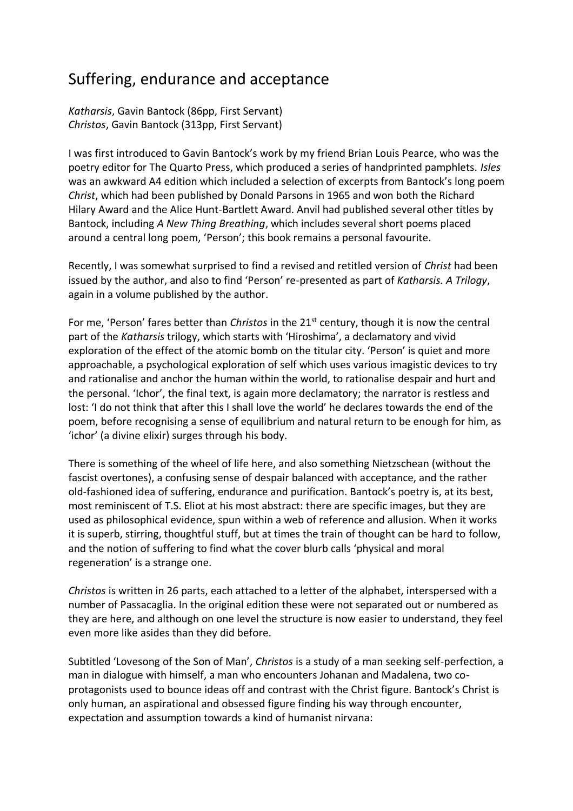## Suffering, endurance and acceptance

*Katharsis*, Gavin Bantock (86pp, First Servant) *Christos*, Gavin Bantock (313pp, First Servant)

I was first introduced to Gavin Bantock's work by my friend Brian Louis Pearce, who was the poetry editor for The Quarto Press, which produced a series of handprinted pamphlets. *Isles* was an awkward A4 edition which included a selection of excerpts from Bantock's long poem *Christ*, which had been published by Donald Parsons in 1965 and won both the Richard Hilary Award and the Alice Hunt-Bartlett Award. Anvil had published several other titles by Bantock, including *A New Thing Breathing*, which includes several short poems placed around a central long poem, 'Person'; this book remains a personal favourite.

Recently, I was somewhat surprised to find a revised and retitled version of *Christ* had been issued by the author, and also to find 'Person' re-presented as part of *Katharsis. A Trilogy*, again in a volume published by the author.

For me, 'Person' fares better than *Christos* in the 21st century, though it is now the central part of the *Katharsis* trilogy, which starts with 'Hiroshima', a declamatory and vivid exploration of the effect of the atomic bomb on the titular city. 'Person' is quiet and more approachable, a psychological exploration of self which uses various imagistic devices to try and rationalise and anchor the human within the world, to rationalise despair and hurt and the personal. 'Ichor', the final text, is again more declamatory; the narrator is restless and lost: 'I do not think that after this I shall love the world' he declares towards the end of the poem, before recognising a sense of equilibrium and natural return to be enough for him, as 'ichor' (a divine elixir) surges through his body.

There is something of the wheel of life here, and also something Nietzschean (without the fascist overtones), a confusing sense of despair balanced with acceptance, and the rather old-fashioned idea of suffering, endurance and purification. Bantock's poetry is, at its best, most reminiscent of T.S. Eliot at his most abstract: there are specific images, but they are used as philosophical evidence, spun within a web of reference and allusion. When it works it is superb, stirring, thoughtful stuff, but at times the train of thought can be hard to follow, and the notion of suffering to find what the cover blurb calls 'physical and moral regeneration' is a strange one.

*Christos* is written in 26 parts, each attached to a letter of the alphabet, interspersed with a number of Passacaglia. In the original edition these were not separated out or numbered as they are here, and although on one level the structure is now easier to understand, they feel even more like asides than they did before.

Subtitled 'Lovesong of the Son of Man', *Christos* is a study of a man seeking self-perfection, a man in dialogue with himself, a man who encounters Johanan and Madalena, two coprotagonists used to bounce ideas off and contrast with the Christ figure. Bantock's Christ is only human, an aspirational and obsessed figure finding his way through encounter, expectation and assumption towards a kind of humanist nirvana: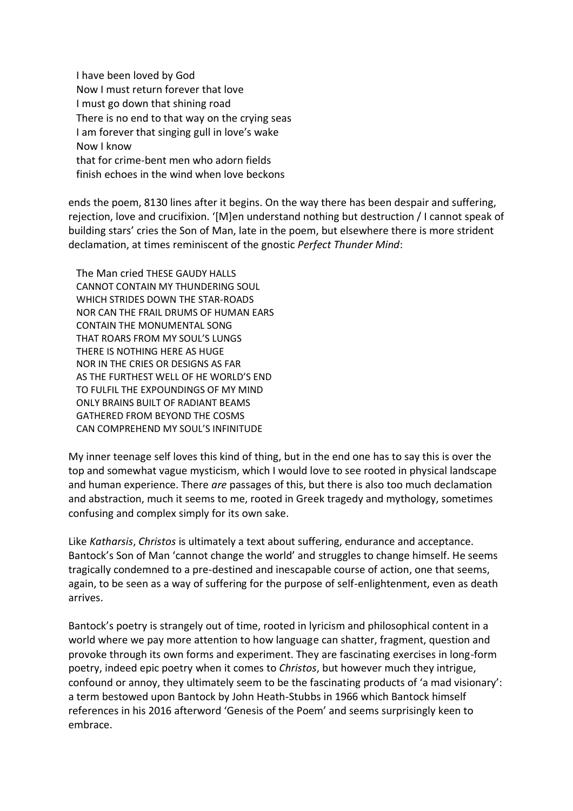I have been loved by God Now I must return forever that love I must go down that shining road There is no end to that way on the crying seas I am forever that singing gull in love's wake Now I know that for crime-bent men who adorn fields finish echoes in the wind when love beckons

ends the poem, 8130 lines after it begins. On the way there has been despair and suffering, rejection, love and crucifixion. '[M]en understand nothing but destruction / I cannot speak of building stars' cries the Son of Man, late in the poem, but elsewhere there is more strident declamation, at times reminiscent of the gnostic *Perfect Thunder Mind*:

 The Man cried THESE GAUDY HALLS CANNOT CONTAIN MY THUNDERING SOUL WHICH STRIDES DOWN THE STAR-ROADS NOR CAN THE FRAIL DRUMS OF HUMAN EARS CONTAIN THE MONUMENTAL SONG THAT ROARS FROM MY SOUL'S LUNGS THERE IS NOTHING HERE AS HUGE NOR IN THE CRIES OR DESIGNS AS FAR AS THE FURTHEST WELL OF HE WORLD'S END TO FULFIL THE EXPOUNDINGS OF MY MIND ONLY BRAINS BUILT OF RADIANT BEAMS GATHERED FROM BEYOND THE COSMS CAN COMPREHEND MY SOUL'S INFINITUDE

My inner teenage self loves this kind of thing, but in the end one has to say this is over the top and somewhat vague mysticism, which I would love to see rooted in physical landscape and human experience. There *are* passages of this, but there is also too much declamation and abstraction, much it seems to me, rooted in Greek tragedy and mythology, sometimes confusing and complex simply for its own sake.

Like *Katharsis*, *Christos* is ultimately a text about suffering, endurance and acceptance. Bantock's Son of Man 'cannot change the world' and struggles to change himself. He seems tragically condemned to a pre-destined and inescapable course of action, one that seems, again, to be seen as a way of suffering for the purpose of self-enlightenment, even as death arrives.

Bantock's poetry is strangely out of time, rooted in lyricism and philosophical content in a world where we pay more attention to how language can shatter, fragment, question and provoke through its own forms and experiment. They are fascinating exercises in long-form poetry, indeed epic poetry when it comes to *Christos*, but however much they intrigue, confound or annoy, they ultimately seem to be the fascinating products of 'a mad visionary': a term bestowed upon Bantock by John Heath-Stubbs in 1966 which Bantock himself references in his 2016 afterword 'Genesis of the Poem' and seems surprisingly keen to embrace.